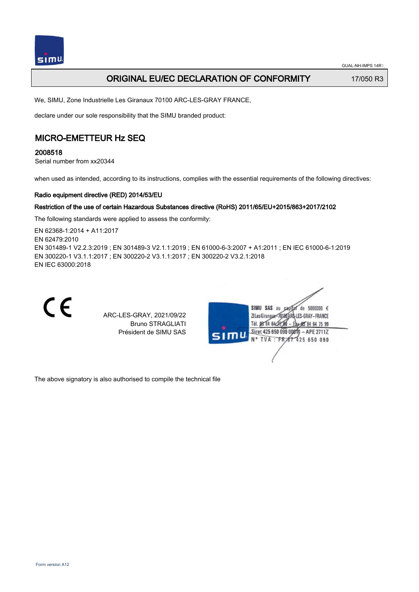

## **ORIGINAL EU/EC DECLARATION OF CONFORMITY** 17/050 R3

We, SIMU, Zone Industrielle Les Giranaux 70100 ARC-LES-GRAY FRANCE,

declare under our sole responsibility that the SIMU branded product:

## MICRO-EMETTEUR Hz SEQ

2008518

Serial number from xx20344

when used as intended, according to its instructions, complies with the essential requirements of the following directives:

#### Radio equipment directive (RED) 2014/53/EU

#### Restriction of the use of certain Hazardous Substances directive (RoHS) 2011/65/EU+2015/863+2017/2102

The following standards were applied to assess the conformity:

EN 62368‑1:2014 + A11:2017 EN 62479:2010 EN 301489‑1 V2.2.3:2019 ; EN 301489‑3 V2.1.1:2019 ; EN 61000‑6‑3:2007 + A1:2011 ; EN IEC 61000‑6‑1:2019 EN 300220‑1 V3.1.1:2017 ; EN 300220‑2 V3.1.1:2017 ; EN 300220‑2 V3.2.1:2018 EN IEC 63000:2018



ARC-LES-GRAY, 2021/09/22 Bruno STRAGLIATI Président de SIMU SAS



The above signatory is also authorised to compile the technical file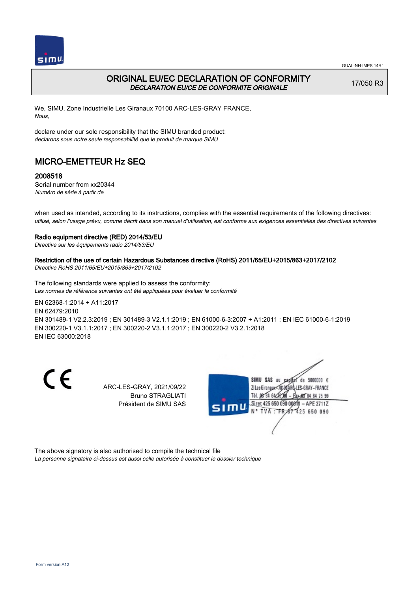

### ORIGINAL EU/EC DECLARATION OF CONFORMITY DECLARATION EU/CE DE CONFORMITE ORIGINALE

17/050 R3

We, SIMU, Zone Industrielle Les Giranaux 70100 ARC-LES-GRAY FRANCE, Nous,

declare under our sole responsibility that the SIMU branded product: declarons sous notre seule responsabilité que le produit de marque SIMU

## MICRO-EMETTEUR Hz SEQ

#### 2008518

Serial number from xx20344 Numéro de série à partir de

when used as intended, according to its instructions, complies with the essential requirements of the following directives: utilisé, selon l'usage prévu, comme décrit dans son manuel d'utilisation, est conforme aux exigences essentielles des directives suivantes

#### Radio equipment directive (RED) 2014/53/EU

Directive sur les équipements radio 2014/53/EU

#### Restriction of the use of certain Hazardous Substances directive (RoHS) 2011/65/EU+2015/863+2017/2102

Directive RoHS 2011/65/EU+2015/863+2017/2102

The following standards were applied to assess the conformity: Les normes de référence suivantes ont été appliquées pour évaluer la conformité

EN 62368‑1:2014 + A11:2017 EN 62479:2010 EN 301489‑1 V2.2.3:2019 ; EN 301489‑3 V2.1.1:2019 ; EN 61000‑6‑3:2007 + A1:2011 ; EN IEC 61000‑6‑1:2019 EN 300220‑1 V3.1.1:2017 ; EN 300220‑2 V3.1.1:2017 ; EN 300220‑2 V3.2.1:2018 EN IEC 63000:2018

C E

ARC-LES-GRAY, 2021/09/22 Bruno STRAGLIATI Président de SIMU SAS



The above signatory is also authorised to compile the technical file

La personne signataire ci-dessus est aussi celle autorisée à constituer le dossier technique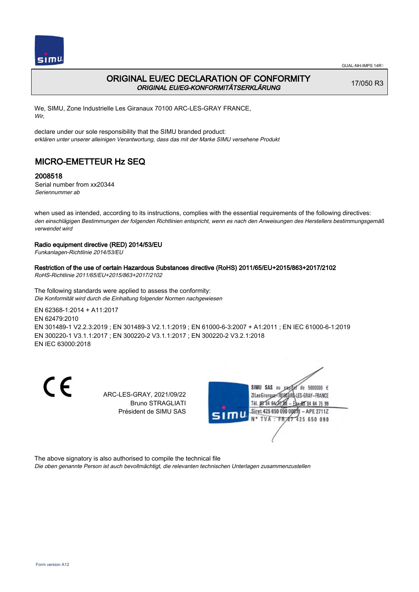

## ORIGINAL EU/EC DECLARATION OF CONFORMITY ORIGINAL EU/EG-KONFORMITÄTSERKLÄRUNG

17/050 R3

We, SIMU, Zone Industrielle Les Giranaux 70100 ARC-LES-GRAY FRANCE, Wir,

declare under our sole responsibility that the SIMU branded product: erklären unter unserer alleinigen Verantwortung, dass das mit der Marke SIMU versehene Produkt

# MICRO-EMETTEUR Hz SEQ

### 2008518

Serial number from xx20344 Seriennummer ab

when used as intended, according to its instructions, complies with the essential requirements of the following directives: den einschlägigen Bestimmungen der folgenden Richtlinien entspricht, wenn es nach den Anweisungen des Herstellers bestimmungsgemäß verwendet wird

#### Radio equipment directive (RED) 2014/53/EU

Funkanlagen-Richtlinie 2014/53/EU

#### Restriction of the use of certain Hazardous Substances directive (RoHS) 2011/65/EU+2015/863+2017/2102

RoHS-Richtlinie 2011/65/EU+2015/863+2017/2102

The following standards were applied to assess the conformity: Die Konformität wird durch die Einhaltung folgender Normen nachgewiesen

EN 62368‑1:2014 + A11:2017

EN 62479:2010 EN 301489‑1 V2.2.3:2019 ; EN 301489‑3 V2.1.1:2019 ; EN 61000‑6‑3:2007 + A1:2011 ; EN IEC 61000‑6‑1:2019 EN 300220‑1 V3.1.1:2017 ; EN 300220‑2 V3.1.1:2017 ; EN 300220‑2 V3.2.1:2018 EN IEC 63000:2018

CE

ARC-LES-GRAY, 2021/09/22 Bruno STRAGLIATI Président de SIMU SAS



The above signatory is also authorised to compile the technical file

Die oben genannte Person ist auch bevollmächtigt, die relevanten technischen Unterlagen zusammenzustellen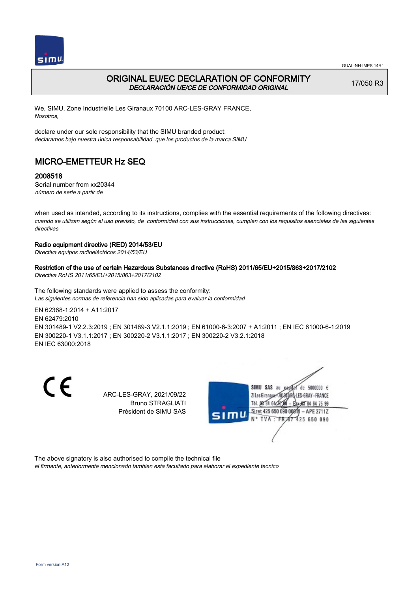

## ORIGINAL EU/EC DECLARATION OF CONFORMITY DECLARACIÓN UE/CE DE CONFORMIDAD ORIGINAL

17/050 R3

We, SIMU, Zone Industrielle Les Giranaux 70100 ARC-LES-GRAY FRANCE, Nosotros,

declare under our sole responsibility that the SIMU branded product: declaramos bajo nuestra única responsabilidad, que los productos de la marca SIMU

# MICRO-EMETTEUR Hz SEQ

### 2008518

Serial number from xx20344 número de serie a partir de

when used as intended, according to its instructions, complies with the essential requirements of the following directives: cuando se utilizan según el uso previsto, de conformidad con sus instrucciones, cumplen con los requisitos esenciales de las siguientes directivas

#### Radio equipment directive (RED) 2014/53/EU

Directiva equipos radioeléctricos 2014/53/EU

#### Restriction of the use of certain Hazardous Substances directive (RoHS) 2011/65/EU+2015/863+2017/2102

Directiva RoHS 2011/65/EU+2015/863+2017/2102

The following standards were applied to assess the conformity: Las siguientes normas de referencia han sido aplicadas para evaluar la conformidad

EN 62368‑1:2014 + A11:2017 EN 62479:2010 EN 301489‑1 V2.2.3:2019 ; EN 301489‑3 V2.1.1:2019 ; EN 61000‑6‑3:2007 + A1:2011 ; EN IEC 61000‑6‑1:2019

EN 300220‑1 V3.1.1:2017 ; EN 300220‑2 V3.1.1:2017 ; EN 300220‑2 V3.2.1:2018 EN IEC 63000:2018

 $\epsilon$ 

ARC-LES-GRAY, 2021/09/22 Bruno STRAGLIATI Président de SIMU SAS



The above signatory is also authorised to compile the technical file

el firmante, anteriormente mencionado tambien esta facultado para elaborar el expediente tecnico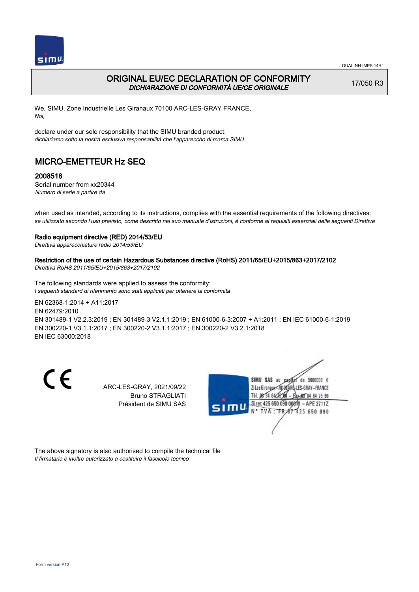

## ORIGINAL EU/EC DECLARATION OF CONFORMITY DICHIARAZIONE DI CONFORMITÀ UE/CE ORIGINALE

17/050 R3

We, SIMU, Zone Industrielle Les Giranaux 70100 ARC-LES-GRAY FRANCE, Noi,

declare under our sole responsibility that the SIMU branded product: dichiariamo sotto la nostra esclusiva responsabilità che l'appareccho di marca SIMU

# MICRO-EMETTEUR Hz SEQ

### 2008518

Serial number from xx20344 Numero di serie a partire da

when used as intended, according to its instructions, complies with the essential requirements of the following directives: se utilizzato secondo l'uso previsto, come descritto nel suo manuale d'istruzioni, è conforme ai requisiti essenziali delle seguenti Direttive

#### Radio equipment directive (RED) 2014/53/EU

Direttiva apparecchiature radio 2014/53/EU

### Restriction of the use of certain Hazardous Substances directive (RoHS) 2011/65/EU+2015/863+2017/2102

Direttiva RoHS 2011/65/EU+2015/863+2017/2102

The following standards were applied to assess the conformity: I seguenti standard di riferimento sono stati applicati per ottenere la conformità

EN 62368‑1:2014 + A11:2017 EN 62479:2010 EN 301489‑1 V2.2.3:2019 ; EN 301489‑3 V2.1.1:2019 ; EN 61000‑6‑3:2007 + A1:2011 ; EN IEC 61000‑6‑1:2019 EN 300220‑1 V3.1.1:2017 ; EN 300220‑2 V3.1.1:2017 ; EN 300220‑2 V3.2.1:2018 EN IEC 63000:2018

C E

ARC-LES-GRAY, 2021/09/22 Bruno STRAGLIATI Président de SIMU SAS



The above signatory is also authorised to compile the technical file Il firmatario è inoltre autorizzato a costituire il fascicolo tecnico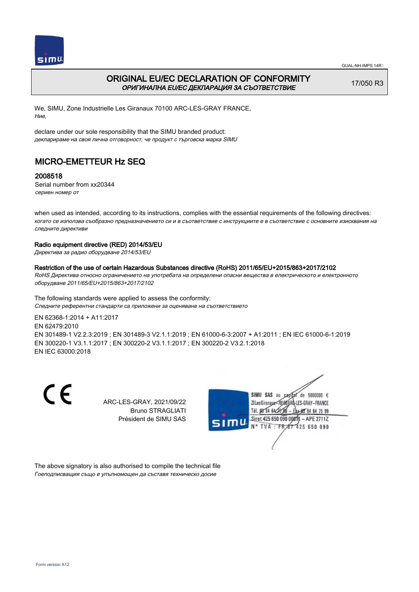

## ORIGINAL EU/EC DECLARATION OF CONFORMITY ОРИГИНАЛНА EU/EC ДЕКЛАРАЦИЯ ЗА СЪОТВЕТСТВИЕ

17/050 R3

We, SIMU, Zone Industrielle Les Giranaux 70100 ARC-LES-GRAY FRANCE, Ние,

declare under our sole responsibility that the SIMU branded product: декларираме на своя лична отговорност, че продукт с търговска марка SIMU

# MICRO-EMETTEUR Hz SEQ

### 2008518

Serial number from xx20344 сериен номер от

when used as intended, according to its instructions, complies with the essential requirements of the following directives: когато се използва съобразно предназначението си и в съответствие с инструкциите е в съответствие с основните изисквания на следните директиви

#### Radio equipment directive (RED) 2014/53/EU

Директива за радио оборудване 2014/53/EU

Restriction of the use of certain Hazardous Substances directive (RoHS) 2011/65/EU+2015/863+2017/2102 RoHS Директива относно ограничението на употребата на определени опасни вещества в електрическото и електронното оборудване 2011/65/EU+2015/863+2017/2102

The following standards were applied to assess the conformity: Следните референтни стандарти са приложени за оценяване на съответствието

EN 62368‑1:2014 + A11:2017 EN 62479:2010 EN 301489‑1 V2.2.3:2019 ; EN 301489‑3 V2.1.1:2019 ; EN 61000‑6‑3:2007 + A1:2011 ; EN IEC 61000‑6‑1:2019 EN 300220‑1 V3.1.1:2017 ; EN 300220‑2 V3.1.1:2017 ; EN 300220‑2 V3.2.1:2018 EN IEC 63000:2018

C E

ARC-LES-GRAY, 2021/09/22 Bruno STRAGLIATI Président de SIMU SAS



The above signatory is also authorised to compile the technical file Гоеподписващия също е упълномощен да съставя техническо досие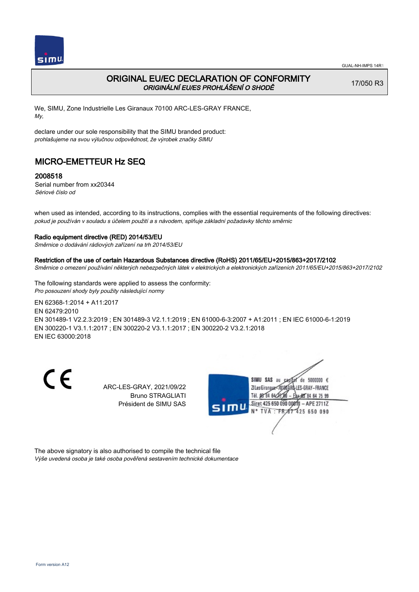

## ORIGINAL EU/EC DECLARATION OF CONFORMITY ORIGINÁLNÍ EU/ES PROHLÁŠENÍ O SHODĚ

17/050 R3

We, SIMU, Zone Industrielle Les Giranaux 70100 ARC-LES-GRAY FRANCE, My,

declare under our sole responsibility that the SIMU branded product: prohlašujeme na svou výlučnou odpovědnost, že výrobek značky SIMU

# MICRO-EMETTEUR Hz SEQ

### 2008518

Serial number from xx20344 Sériové číslo od

when used as intended, according to its instructions, complies with the essential requirements of the following directives: pokud je používán v souladu s účelem použití a s návodem, splňuje základní požadavky těchto směrnic

#### Radio equipment directive (RED) 2014/53/EU

Směrnice o dodávání rádiových zařízení na trh 2014/53/EU

#### Restriction of the use of certain Hazardous Substances directive (RoHS) 2011/65/EU+2015/863+2017/2102

Směrnice o omezení používání některých nebezpečných látek v elektrických a elektronických zařízeních 2011/65/EU+2015/863+2017/2102

The following standards were applied to assess the conformity: Pro posouzení shody byly použity následující normy

EN 62368‑1:2014 + A11:2017 EN 62479:2010 EN 301489‑1 V2.2.3:2019 ; EN 301489‑3 V2.1.1:2019 ; EN 61000‑6‑3:2007 + A1:2011 ; EN IEC 61000‑6‑1:2019 EN 300220‑1 V3.1.1:2017 ; EN 300220‑2 V3.1.1:2017 ; EN 300220‑2 V3.2.1:2018 EN IEC 63000:2018

C E

ARC-LES-GRAY, 2021/09/22 Bruno STRAGLIATI Président de SIMU SAS



The above signatory is also authorised to compile the technical file Výše uvedená osoba je také osoba pověřená sestavením technické dokumentace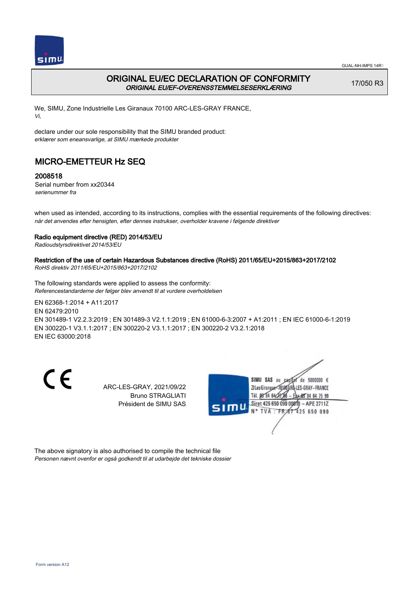

## ORIGINAL EU/EC DECLARATION OF CONFORMITY ORIGINAL EU/EF-OVERENSSTEMMELSESERKLÆRING

17/050 R3

We, SIMU, Zone Industrielle Les Giranaux 70100 ARC-LES-GRAY FRANCE, Vi,

declare under our sole responsibility that the SIMU branded product: erklærer som eneansvarlige, at SIMU mærkede produkter

# MICRO-EMETTEUR Hz SEQ

### 2008518

Serial number from xx20344 serienummer fra

when used as intended, according to its instructions, complies with the essential requirements of the following directives: når det anvendes efter hensigten, efter dennes instrukser, overholder kravene i følgende direktiver

### Radio equipment directive (RED) 2014/53/EU

Radioudstyrsdirektivet 2014/53/EU

## Restriction of the use of certain Hazardous Substances directive (RoHS) 2011/65/EU+2015/863+2017/2102

RoHS direktiv 2011/65/EU+2015/863+2017/2102

The following standards were applied to assess the conformity: Referencestandarderne der følger blev anvendt til at vurdere overholdelsen

EN 62368‑1:2014 + A11:2017 EN 62479:2010 EN 301489‑1 V2.2.3:2019 ; EN 301489‑3 V2.1.1:2019 ; EN 61000‑6‑3:2007 + A1:2011 ; EN IEC 61000‑6‑1:2019 EN 300220‑1 V3.1.1:2017 ; EN 300220‑2 V3.1.1:2017 ; EN 300220‑2 V3.2.1:2018 EN IEC 63000:2018

C E

ARC-LES-GRAY, 2021/09/22 Bruno STRAGLIATI Président de SIMU SAS



The above signatory is also authorised to compile the technical file Personen nævnt ovenfor er også godkendt til at udarbejde det tekniske dossier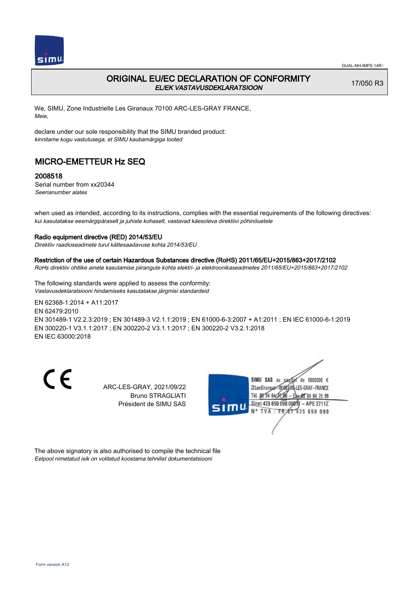

### ORIGINAL EU/EC DECLARATION OF CONFORMITY EL/EK VASTAVUSDEKLARATSIOON

17/050 R3

We, SIMU, Zone Industrielle Les Giranaux 70100 ARC-LES-GRAY FRANCE, Meie,

declare under our sole responsibility that the SIMU branded product: kinnitame kogu vastutusega, et SIMU kaubamärgiga tooted

## MICRO-EMETTEUR Hz SEQ

#### 2008518

Serial number from xx20344 Seerianumber alates

when used as intended, according to its instructions, complies with the essential requirements of the following directives: kui kasutatakse eesmärgipäraselt ja juhiste kohaselt, vastavad käesoleva direktiivi põhinõuetele

#### Radio equipment directive (RED) 2014/53/EU

Direktiiv raadioseadmete turul kättesaadavuse kohta 2014/53/EU

#### Restriction of the use of certain Hazardous Substances directive (RoHS) 2011/65/EU+2015/863+2017/2102

RoHs direktiiv ohtlike ainete kasutamise piirangute kohta elektri- ja elektroonikaseadmetes 2011/65/EU+2015/863+2017/2102

The following standards were applied to assess the conformity: Vastavusdeklaratsiooni hindamiseks kasutatakse järgmisi standardeid

EN 62368‑1:2014 + A11:2017 EN 62479:2010 EN 301489‑1 V2.2.3:2019 ; EN 301489‑3 V2.1.1:2019 ; EN 61000‑6‑3:2007 + A1:2011 ; EN IEC 61000‑6‑1:2019 EN 300220‑1 V3.1.1:2017 ; EN 300220‑2 V3.1.1:2017 ; EN 300220‑2 V3.2.1:2018 EN IEC 63000:2018

C E

ARC-LES-GRAY, 2021/09/22 Bruno STRAGLIATI Président de SIMU SAS



The above signatory is also authorised to compile the technical file Eelpool nimetatud isik on volitatud koostama tehnilist dokumentatsiooni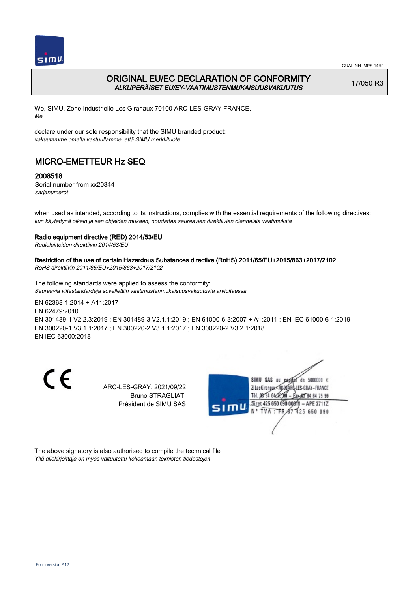

## ORIGINAL EU/EC DECLARATION OF CONFORMITY ALKUPERÄISET EU/EY-VAATIMUSTENMUKAISUUSVAKUUTUS

17/050 R3

We, SIMU, Zone Industrielle Les Giranaux 70100 ARC-LES-GRAY FRANCE, Me,

declare under our sole responsibility that the SIMU branded product: vakuutamme omalla vastuullamme, että SIMU merkkituote

# MICRO-EMETTEUR Hz SEQ

### 2008518

Serial number from xx20344 sarjanumerot

when used as intended, according to its instructions, complies with the essential requirements of the following directives: kun käytettynä oikein ja sen ohjeiden mukaan, noudattaa seuraavien direktiivien olennaisia vaatimuksia

### Radio equipment directive (RED) 2014/53/EU

Radiolaitteiden direktiivin 2014/53/EU

Restriction of the use of certain Hazardous Substances directive (RoHS) 2011/65/EU+2015/863+2017/2102 RoHS direktiivin 2011/65/EU+2015/863+2017/2102

The following standards were applied to assess the conformity: Seuraavia viitestandardeja sovellettiin vaatimustenmukaisuusvakuutusta arvioitaessa

EN 62368‑1:2014 + A11:2017 EN 62479:2010 EN 301489‑1 V2.2.3:2019 ; EN 301489‑3 V2.1.1:2019 ; EN 61000‑6‑3:2007 + A1:2011 ; EN IEC 61000‑6‑1:2019 EN 300220‑1 V3.1.1:2017 ; EN 300220‑2 V3.1.1:2017 ; EN 300220‑2 V3.2.1:2018 EN IEC 63000:2018

C E

ARC-LES-GRAY, 2021/09/22 Bruno STRAGLIATI Président de SIMU SAS



The above signatory is also authorised to compile the technical file Yllä allekirjoittaja on myös valtuutettu kokoamaan teknisten tiedostojen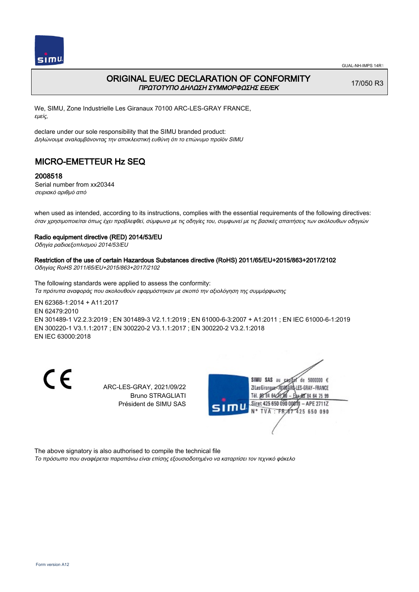

### ORIGINAL EU/EC DECLARATION OF CONFORMITY ΠΡΩΤΟΤΥΠΟ ΔΗΛΩΣΗ ΣΥΜΜΟΡΦΩΣΗΣ ΕΕ/EK

17/050 R3

We, SIMU, Zone Industrielle Les Giranaux 70100 ARC-LES-GRAY FRANCE, εμείς,

declare under our sole responsibility that the SIMU branded product: Δηλώνουμε αναλαμβάνοντας την αποκλειστική ευθύνη ότι το επώνυμο προϊόν SIMU

# MICRO-EMETTEUR Hz SEQ

### 2008518

Serial number from xx20344 σειριακό αριθμό από

when used as intended, according to its instructions, complies with the essential requirements of the following directives: όταν χρησιμοποιείται όπως έχει προβλεφθεί, σύμφωνα με τις οδηγίες του, συμφωνεί με τις βασικές απαιτήσεις των ακόλουθων οδηγιών

#### Radio equipment directive (RED) 2014/53/EU

Οδηγία ραδιοεξοπλισμού 2014/53/EU

# Restriction of the use of certain Hazardous Substances directive (RoHS) 2011/65/EU+2015/863+2017/2102

Οδηγίας RoHS 2011/65/EU+2015/863+2017/2102

The following standards were applied to assess the conformity: Τα πρότυπα αναφοράς που ακολουθούν εφαρμόστηκαν με σκοπό την αξιολόγηση της συμμόρφωσης

EN 62368‑1:2014 + A11:2017 EN 62479:2010 EN 301489‑1 V2.2.3:2019 ; EN 301489‑3 V2.1.1:2019 ; EN 61000‑6‑3:2007 + A1:2011 ; EN IEC 61000‑6‑1:2019 EN 300220‑1 V3.1.1:2017 ; EN 300220‑2 V3.1.1:2017 ; EN 300220‑2 V3.2.1:2018 EN IEC 63000:2018

C E

ARC-LES-GRAY, 2021/09/22 Bruno STRAGLIATI Président de SIMU SAS



The above signatory is also authorised to compile the technical file

Το πρόσωπο που αναφέρεται παραπάνω είναι επίσης εξουσιοδοτημένο να καταρτίσει τον τεχνικό φάκελο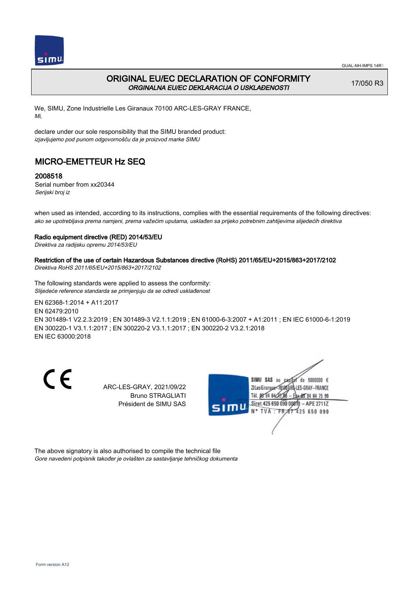

### ORIGINAL EU/EC DECLARATION OF CONFORMITY ORGINALNA EU/EC DEKLARACIJA O USKLAĐENOSTI

17/050 R3

We, SIMU, Zone Industrielle Les Giranaux 70100 ARC-LES-GRAY FRANCE, Mi,

declare under our sole responsibility that the SIMU branded product: izjavljujemo pod punom odgovornošču da je proizvod marke SIMU

# MICRO-EMETTEUR Hz SEQ

### 2008518

Serial number from xx20344 Serijski broj iz

when used as intended, according to its instructions, complies with the essential requirements of the following directives: ako se upotrebljava prema namjeni, prema važećim uputama, usklađen sa prijeko potrebnim zahtijevima slijedećih direktiva

#### Radio equipment directive (RED) 2014/53/EU

Direktiva za radijsku opremu 2014/53/EU

## Restriction of the use of certain Hazardous Substances directive (RoHS) 2011/65/EU+2015/863+2017/2102

Direktiva RoHS 2011/65/EU+2015/863+2017/2102

The following standards were applied to assess the conformity: Slijedeće reference standarda se primjenjuju da se odredi usklađenost

EN 62368‑1:2014 + A11:2017 EN 62479:2010 EN 301489‑1 V2.2.3:2019 ; EN 301489‑3 V2.1.1:2019 ; EN 61000‑6‑3:2007 + A1:2011 ; EN IEC 61000‑6‑1:2019 EN 300220‑1 V3.1.1:2017 ; EN 300220‑2 V3.1.1:2017 ; EN 300220‑2 V3.2.1:2018 EN IEC 63000:2018

C E

ARC-LES-GRAY, 2021/09/22 Bruno STRAGLIATI Président de SIMU SAS



The above signatory is also authorised to compile the technical file Gore navedeni potpisnik također je ovlašten za sastavljanje tehničkog dokumenta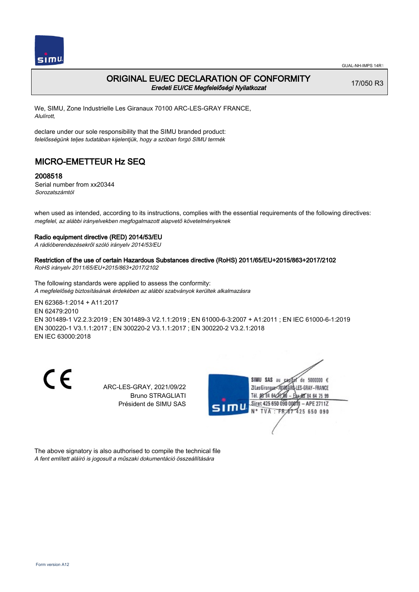

### ORIGINAL EU/EC DECLARATION OF CONFORMITY Eredeti EU/CE Megfelelőségi Nyilatkozat

17/050 R3

We, SIMU, Zone Industrielle Les Giranaux 70100 ARC-LES-GRAY FRANCE, Alulírott,

declare under our sole responsibility that the SIMU branded product: felelősségünk teljes tudatában kijelentjük, hogy a szóban forgó SIMU termék

# MICRO-EMETTEUR Hz SEQ

### 2008518

Serial number from xx20344 Sorozatszámtól

when used as intended, according to its instructions, complies with the essential requirements of the following directives: megfelel, az alábbi irányelvekben megfogalmazott alapvető követelményeknek

#### Radio equipment directive (RED) 2014/53/EU

A rádióberendezésekről szóló irányelv 2014/53/EU

### Restriction of the use of certain Hazardous Substances directive (RoHS) 2011/65/EU+2015/863+2017/2102

RoHS irányelv 2011/65/EU+2015/863+2017/2102

The following standards were applied to assess the conformity: A megfelelőség biztosításának érdekében az alábbi szabványok kerültek alkalmazásra

EN 62368‑1:2014 + A11:2017 EN 62479:2010 EN 301489‑1 V2.2.3:2019 ; EN 301489‑3 V2.1.1:2019 ; EN 61000‑6‑3:2007 + A1:2011 ; EN IEC 61000‑6‑1:2019 EN 300220‑1 V3.1.1:2017 ; EN 300220‑2 V3.1.1:2017 ; EN 300220‑2 V3.2.1:2018 EN IEC 63000:2018

C E

ARC-LES-GRAY, 2021/09/22 Bruno STRAGLIATI Président de SIMU SAS



The above signatory is also authorised to compile the technical file A fent említett aláíró is jogosult a műszaki dokumentáció összeállítására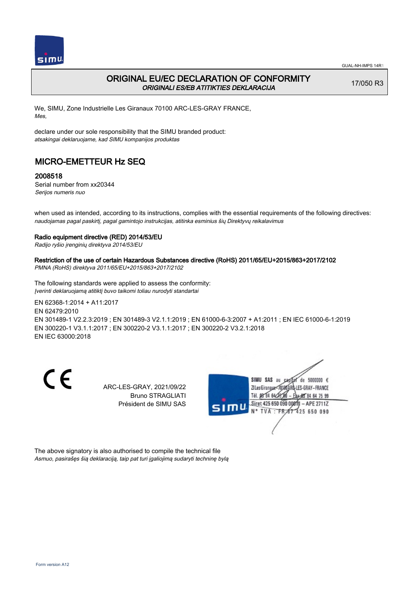

## ORIGINAL EU/EC DECLARATION OF CONFORMITY ORIGINALI ES/EB ATITIKTIES DEKLARACIJA

17/050 R3

We, SIMU, Zone Industrielle Les Giranaux 70100 ARC-LES-GRAY FRANCE, Mes,

declare under our sole responsibility that the SIMU branded product: atsakingai deklaruojame, kad SIMU kompanijos produktas

## MICRO-EMETTEUR Hz SEQ

### 2008518

Serial number from xx20344 Serijos numeris nuo

when used as intended, according to its instructions, complies with the essential requirements of the following directives: naudojamas pagal paskirtį, pagal gamintojo instrukcijas, atitinka esminius šių Direktyvų reikalavimus

#### Radio equipment directive (RED) 2014/53/EU

Radijo ryšio įrenginių direktyva 2014/53/EU

### Restriction of the use of certain Hazardous Substances directive (RoHS) 2011/65/EU+2015/863+2017/2102

PMNA (RoHS) direktyva 2011/65/EU+2015/863+2017/2102

The following standards were applied to assess the conformity: Įverinti deklaruojamą atitiktį buvo taikomi toliau nurodyti standartai

EN 62368‑1:2014 + A11:2017 EN 62479:2010 EN 301489‑1 V2.2.3:2019 ; EN 301489‑3 V2.1.1:2019 ; EN 61000‑6‑3:2007 + A1:2011 ; EN IEC 61000‑6‑1:2019 EN 300220‑1 V3.1.1:2017 ; EN 300220‑2 V3.1.1:2017 ; EN 300220‑2 V3.2.1:2018 EN IEC 63000:2018

C E

ARC-LES-GRAY, 2021/09/22 Bruno STRAGLIATI Président de SIMU SAS



The above signatory is also authorised to compile the technical file Asmuo, pasirašęs šią deklaraciją, taip pat turi įgaliojimą sudaryti techninę bylą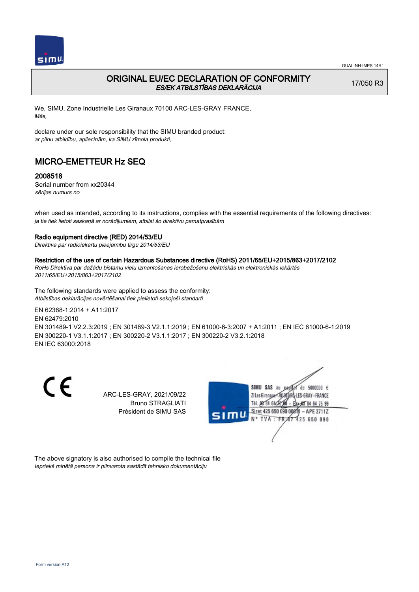

## ORIGINAL EU/EC DECLARATION OF CONFORMITY ES/EK ATBILSTĪBAS DEKLARĀCIJA

17/050 R3

We, SIMU, Zone Industrielle Les Giranaux 70100 ARC-LES-GRAY FRANCE, Mēs,

declare under our sole responsibility that the SIMU branded product: ar pilnu atbildību, apliecinām, ka SIMU zīmola produkti,

## MICRO-EMETTEUR Hz SEQ

### 2008518

Serial number from xx20344 sērijas numurs no

when used as intended, according to its instructions, complies with the essential requirements of the following directives: ja tie tiek lietoti saskaņā ar norādījumiem, atbilst šo direktīvu pamatprasībām

#### Radio equipment directive (RED) 2014/53/EU

Direktīva par radioiekārtu pieejamību tirgū 2014/53/EU

#### Restriction of the use of certain Hazardous Substances directive (RoHS) 2011/65/EU+2015/863+2017/2102

RoHs Direktīva par dažādu bīstamu vielu izmantošanas ierobežošanu elektriskās un elektroniskās iekārtās 2011/65/EU+2015/863+2017/2102

The following standards were applied to assess the conformity: Atbilstības deklarācijas novērtēšanai tiek pielietoti sekojoši standarti

EN 62368‑1:2014 + A11:2017 EN 62479:2010

EN 301489‑1 V2.2.3:2019 ; EN 301489‑3 V2.1.1:2019 ; EN 61000‑6‑3:2007 + A1:2011 ; EN IEC 61000‑6‑1:2019 EN 300220‑1 V3.1.1:2017 ; EN 300220‑2 V3.1.1:2017 ; EN 300220‑2 V3.2.1:2018 EN IEC 63000:2018

CE

ARC-LES-GRAY, 2021/09/22 Bruno STRAGLIATI Président de SIMU SAS



The above signatory is also authorised to compile the technical file Iepriekš minētā persona ir pilnvarota sastādīt tehnisko dokumentāciju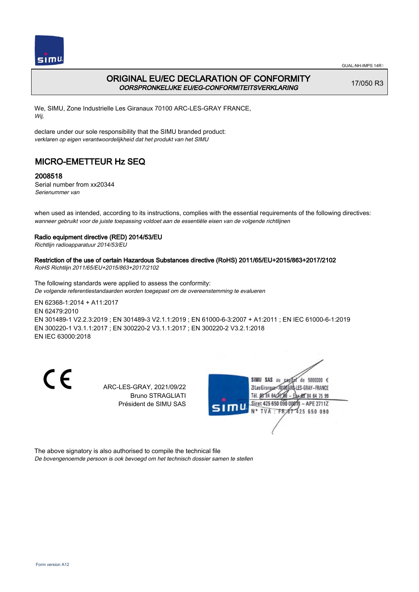

## ORIGINAL EU/EC DECLARATION OF CONFORMITY OORSPRONKELIJKE EU/EG-CONFORMITEITSVERKLARING

17/050 R3

We, SIMU, Zone Industrielle Les Giranaux 70100 ARC-LES-GRAY FRANCE, Wij,

declare under our sole responsibility that the SIMU branded product: verklaren op eigen verantwoordelijkheid dat het produkt van het SIMU

# MICRO-EMETTEUR Hz SEQ

### 2008518

Serial number from xx20344 Serienummer van

when used as intended, according to its instructions, complies with the essential requirements of the following directives: wanneer gebruikt voor de juiste toepassing voldoet aan de essentiële eisen van de volgende richtlijnen

#### Radio equipment directive (RED) 2014/53/EU

Richtlijn radioapparatuur 2014/53/EU

# Restriction of the use of certain Hazardous Substances directive (RoHS) 2011/65/EU+2015/863+2017/2102

RoHS Richtlijn 2011/65/EU+2015/863+2017/2102

The following standards were applied to assess the conformity: De volgende referentiestandaarden worden toegepast om de overeenstemming te evalueren

EN 62368‑1:2014 + A11:2017 EN 62479:2010 EN 301489‑1 V2.2.3:2019 ; EN 301489‑3 V2.1.1:2019 ; EN 61000‑6‑3:2007 + A1:2011 ; EN IEC 61000‑6‑1:2019 EN 300220‑1 V3.1.1:2017 ; EN 300220‑2 V3.1.1:2017 ; EN 300220‑2 V3.2.1:2018 EN IEC 63000:2018

C E

ARC-LES-GRAY, 2021/09/22 Bruno STRAGLIATI Président de SIMU SAS



The above signatory is also authorised to compile the technical file

De bovengenoemde persoon is ook bevoegd om het technisch dossier samen te stellen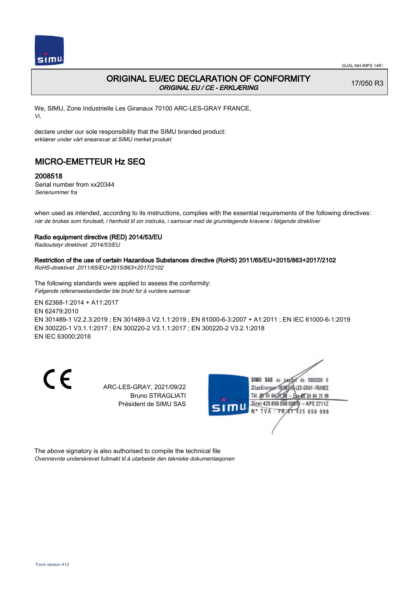

## ORIGINAL EU/EC DECLARATION OF CONFORMITY ORIGINAL EU / CE - ERKLÆRING

17/050 R3

We, SIMU, Zone Industrielle Les Giranaux 70100 ARC-LES-GRAY FRANCE, Vi,

declare under our sole responsibility that the SIMU branded product: erklærer under vårt eneansvar at SIMU merket produkt

# MICRO-EMETTEUR Hz SEQ

### 2008518

Serial number from xx20344 Serienummer fra

when used as intended, according to its instructions, complies with the essential requirements of the following directives: når de brukes som forutsatt, i henhold til sin instruks, i samsvar med de grunnlegende kravene i følgende direktiver

#### Radio equipment directive (RED) 2014/53/EU

Radioutstyr direktivet 2014/53/EU

## Restriction of the use of certain Hazardous Substances directive (RoHS) 2011/65/EU+2015/863+2017/2102

RoHS-direktivet 2011/65/EU+2015/863+2017/2102

The following standards were applied to assess the conformity: Følgende referansestandarder ble brukt for å vurdere samsvar

EN 62368‑1:2014 + A11:2017 EN 62479:2010 EN 301489‑1 V2.2.3:2019 ; EN 301489‑3 V2.1.1:2019 ; EN 61000‑6‑3:2007 + A1:2011 ; EN IEC 61000‑6‑1:2019 EN 300220‑1 V3.1.1:2017 ; EN 300220‑2 V3.1.1:2017 ; EN 300220‑2 V3.2.1:2018 EN IEC 63000:2018

C E

ARC-LES-GRAY, 2021/09/22 Bruno STRAGLIATI Président de SIMU SAS



The above signatory is also authorised to compile the technical file Ovennevnte underskrevet fullmakt til å utarbeide den tekniske dokumentasjonen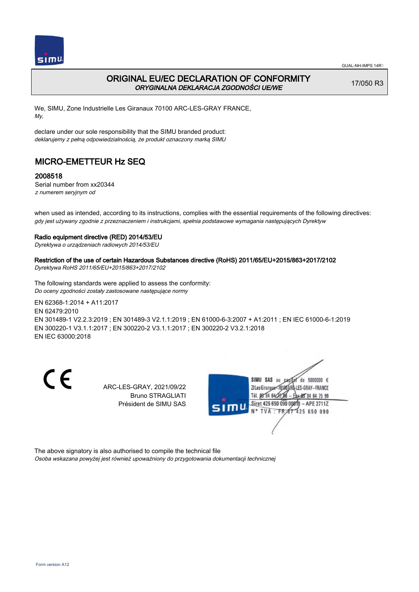

## ORIGINAL EU/EC DECLARATION OF CONFORMITY ORYGINALNA DEKLARACJA ZGODNOŚCI UE/WE

17/050 R3

We, SIMU, Zone Industrielle Les Giranaux 70100 ARC-LES-GRAY FRANCE, My,

declare under our sole responsibility that the SIMU branded product: deklarujemy z pełną odpowiedzialnością, że produkt oznaczony marką SIMU

# MICRO-EMETTEUR Hz SEQ

### 2008518

Serial number from xx20344 z numerem seryjnym od

when used as intended, according to its instructions, complies with the essential requirements of the following directives: gdy jest używany zgodnie z przeznaczeniem i instrukcjami, spełnia podstawowe wymagania następujących Dyrektyw

#### Radio equipment directive (RED) 2014/53/EU

Dyrektywa o urządzeniach radiowych 2014/53/EU

#### Restriction of the use of certain Hazardous Substances directive (RoHS) 2011/65/EU+2015/863+2017/2102

Dyrektywa RoHS 2011/65/EU+2015/863+2017/2102

The following standards were applied to assess the conformity: Do oceny zgodności zostały zastosowane następujące normy

EN 62368‑1:2014 + A11:2017 EN 62479:2010 EN 301489‑1 V2.2.3:2019 ; EN 301489‑3 V2.1.1:2019 ; EN 61000‑6‑3:2007 + A1:2011 ; EN IEC 61000‑6‑1:2019 EN 300220‑1 V3.1.1:2017 ; EN 300220‑2 V3.1.1:2017 ; EN 300220‑2 V3.2.1:2018 EN IEC 63000:2018

C E

ARC-LES-GRAY, 2021/09/22 Bruno STRAGLIATI Président de SIMU SAS



The above signatory is also authorised to compile the technical file

Osoba wskazana powyżej jest również upoważniony do przygotowania dokumentacji technicznej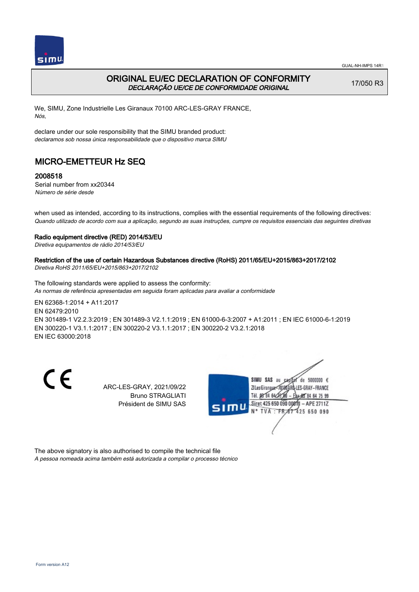

### ORIGINAL EU/EC DECLARATION OF CONFORMITY DECLARAÇÃO UE/CE DE CONFORMIDADE ORIGINAL

17/050 R3

We, SIMU, Zone Industrielle Les Giranaux 70100 ARC-LES-GRAY FRANCE, Nós,

declare under our sole responsibility that the SIMU branded product: declaramos sob nossa única responsabilidade que o dispositivo marca SIMU

# MICRO-EMETTEUR Hz SEQ

### 2008518

Serial number from xx20344 Número de série desde

when used as intended, according to its instructions, complies with the essential requirements of the following directives: Quando utilizado de acordo com sua a aplicação, segundo as suas instruções, cumpre os requisitos essenciais das seguintes diretivas

#### Radio equipment directive (RED) 2014/53/EU

Diretiva equipamentos de rádio 2014/53/EU

## Restriction of the use of certain Hazardous Substances directive (RoHS) 2011/65/EU+2015/863+2017/2102

Diretiva RoHS 2011/65/EU+2015/863+2017/2102

The following standards were applied to assess the conformity: As normas de referência apresentadas em seguida foram aplicadas para avaliar a conformidade

EN 62368‑1:2014 + A11:2017 EN 62479:2010 EN 301489‑1 V2.2.3:2019 ; EN 301489‑3 V2.1.1:2019 ; EN 61000‑6‑3:2007 + A1:2011 ; EN IEC 61000‑6‑1:2019 EN 300220‑1 V3.1.1:2017 ; EN 300220‑2 V3.1.1:2017 ; EN 300220‑2 V3.2.1:2018 EN IEC 63000:2018

C E

ARC-LES-GRAY, 2021/09/22 Bruno STRAGLIATI Président de SIMU SAS



The above signatory is also authorised to compile the technical file A pessoa nomeada acima também está autorizada a compilar o processo técnico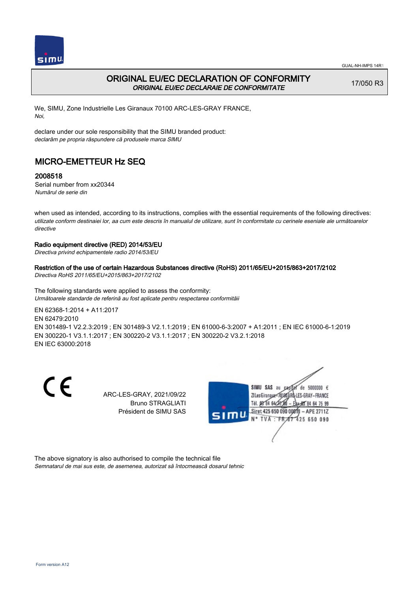

## ORIGINAL EU/EC DECLARATION OF CONFORMITY ORIGINAL EU/EC DECLARAIE DE CONFORMITATE

17/050 R3

We, SIMU, Zone Industrielle Les Giranaux 70100 ARC-LES-GRAY FRANCE, Noi,

declare under our sole responsibility that the SIMU branded product: declarăm pe propria răspundere că produsele marca SIMU

# MICRO-EMETTEUR Hz SEQ

### 2008518

Serial number from xx20344 Numărul de serie din

when used as intended, according to its instructions, complies with the essential requirements of the following directives: utilizate conform destinaiei lor, aa cum este descris în manualul de utilizare, sunt în conformitate cu cerinele eseniale ale următoarelor directive

#### Radio equipment directive (RED) 2014/53/EU

Directiva privind echipamentele radio 2014/53/EU

#### Restriction of the use of certain Hazardous Substances directive (RoHS) 2011/65/EU+2015/863+2017/2102

Directiva RoHS 2011/65/EU+2015/863+2017/2102

The following standards were applied to assess the conformity: Următoarele standarde de referină au fost aplicate pentru respectarea conformităii

EN 62368‑1:2014 + A11:2017 EN 62479:2010 EN 301489‑1 V2.2.3:2019 ; EN 301489‑3 V2.1.1:2019 ; EN 61000‑6‑3:2007 + A1:2011 ; EN IEC 61000‑6‑1:2019 EN 300220‑1 V3.1.1:2017 ; EN 300220‑2 V3.1.1:2017 ; EN 300220‑2 V3.2.1:2018

EN IEC 63000:2018

CE

ARC-LES-GRAY, 2021/09/22 Bruno STRAGLIATI Président de SIMU SAS



The above signatory is also authorised to compile the technical file Semnatarul de mai sus este, de asemenea, autorizat să întocmească dosarul tehnic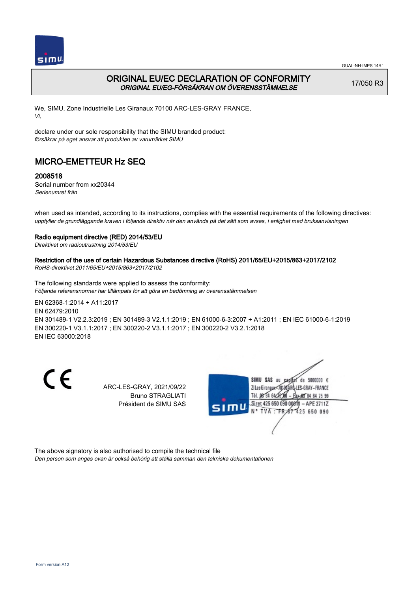

## ORIGINAL EU/EC DECLARATION OF CONFORMITY ORIGINAL EU/EG-FÖRSÄKRAN OM ÖVERENSSTÄMMELSE

17/050 R3

We, SIMU, Zone Industrielle Les Giranaux 70100 ARC-LES-GRAY FRANCE, Vi,

declare under our sole responsibility that the SIMU branded product: försäkrar på eget ansvar att produkten av varumärket SIMU

# MICRO-EMETTEUR Hz SEQ

#### 2008518

Serial number from xx20344 Serienumret från

when used as intended, according to its instructions, complies with the essential requirements of the following directives: uppfyller de grundläggande kraven i följande direktiv när den används på det sätt som avses, i enlighet med bruksanvisningen

#### Radio equipment directive (RED) 2014/53/EU

Direktivet om radioutrustning 2014/53/EU

## Restriction of the use of certain Hazardous Substances directive (RoHS) 2011/65/EU+2015/863+2017/2102

RoHS-direktivet 2011/65/EU+2015/863+2017/2102

The following standards were applied to assess the conformity: Följande referensnormer har tillämpats för att göra en bedömning av överensstämmelsen

EN 62368‑1:2014 + A11:2017 EN 62479:2010 EN 301489‑1 V2.2.3:2019 ; EN 301489‑3 V2.1.1:2019 ; EN 61000‑6‑3:2007 + A1:2011 ; EN IEC 61000‑6‑1:2019 EN 300220‑1 V3.1.1:2017 ; EN 300220‑2 V3.1.1:2017 ; EN 300220‑2 V3.2.1:2018 EN IEC 63000:2018

C E

ARC-LES-GRAY, 2021/09/22 Bruno STRAGLIATI Président de SIMU SAS



The above signatory is also authorised to compile the technical file

Den person som anges ovan är också behörig att ställa samman den tekniska dokumentationen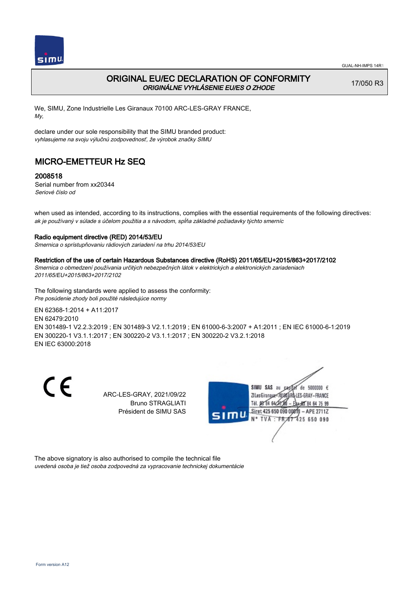

## ORIGINAL EU/EC DECLARATION OF CONFORMITY ORIGINÁLNE VYHLÁSENIE EU/ES O ZHODE

17/050 R3

We, SIMU, Zone Industrielle Les Giranaux 70100 ARC-LES-GRAY FRANCE, My,

declare under our sole responsibility that the SIMU branded product: vyhlasujeme na svoju výlučnú zodpovednosť, že výrobok značky SIMU

# MICRO-EMETTEUR Hz SEQ

### 2008518

Serial number from xx20344 Seriové číslo od

when used as intended, according to its instructions, complies with the essential requirements of the following directives: ak je používaný v súlade s účelom použitia a s návodom, spĺňa základné požiadavky týchto smerníc

#### Radio equipment directive (RED) 2014/53/EU

Smernica o sprístupňovaniu rádiových zariadení na trhu 2014/53/EU

#### Restriction of the use of certain Hazardous Substances directive (RoHS) 2011/65/EU+2015/863+2017/2102

Smernica o obmedzení používania určitých nebezpečných látok v elektrických a elektronických zariadeniach 2011/65/EU+2015/863+2017/2102

The following standards were applied to assess the conformity: Pre posúdenie zhody boli použité následujúce normy

EN 62368‑1:2014 + A11:2017

EN 62479:2010

EN 301489‑1 V2.2.3:2019 ; EN 301489‑3 V2.1.1:2019 ; EN 61000‑6‑3:2007 + A1:2011 ; EN IEC 61000‑6‑1:2019 EN 300220‑1 V3.1.1:2017 ; EN 300220‑2 V3.1.1:2017 ; EN 300220‑2 V3.2.1:2018 EN IEC 63000:2018

 $\epsilon$ 

ARC-LES-GRAY, 2021/09/22 Bruno STRAGLIATI Président de SIMU SAS



The above signatory is also authorised to compile the technical file uvedená osoba je tiež osoba zodpovedná za vypracovanie technickej dokumentácie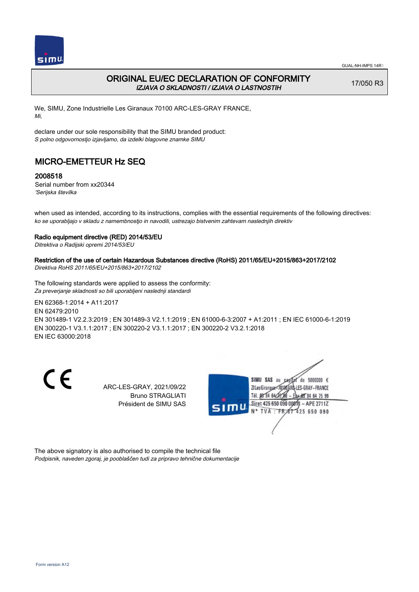

## ORIGINAL EU/EC DECLARATION OF CONFORMITY IZJAVA O SKLADNOSTI / IZJAVA O LASTNOSTIH

17/050 R3

We, SIMU, Zone Industrielle Les Giranaux 70100 ARC-LES-GRAY FRANCE, Mi,

declare under our sole responsibility that the SIMU branded product: S polno odgovornostjo izjavljamo, da izdelki blagovne znamke SIMU

# MICRO-EMETTEUR Hz SEQ

### 2008518

Serial number from xx20344 'Serijska številka

when used as intended, according to its instructions, complies with the essential requirements of the following directives: ko se uporabljajo v skladu z namembnostjo in navodili, ustrezajo bistvenim zahtevam naslednjih direktiv

#### Radio equipment directive (RED) 2014/53/EU

Ditrektiva o Radijski opremi 2014/53/EU

## Restriction of the use of certain Hazardous Substances directive (RoHS) 2011/65/EU+2015/863+2017/2102

Direktiva RoHS 2011/65/EU+2015/863+2017/2102

The following standards were applied to assess the conformity: Za preverjanje skladnosti so bili uporabljeni naslednji standardi

EN 62368‑1:2014 + A11:2017 EN 62479:2010 EN 301489‑1 V2.2.3:2019 ; EN 301489‑3 V2.1.1:2019 ; EN 61000‑6‑3:2007 + A1:2011 ; EN IEC 61000‑6‑1:2019 EN 300220‑1 V3.1.1:2017 ; EN 300220‑2 V3.1.1:2017 ; EN 300220‑2 V3.2.1:2018 EN IEC 63000:2018

C E

ARC-LES-GRAY, 2021/09/22 Bruno STRAGLIATI Président de SIMU SAS



The above signatory is also authorised to compile the technical file Podpisnik, naveden zgoraj, je pooblaščen tudi za pripravo tehnične dokumentacije